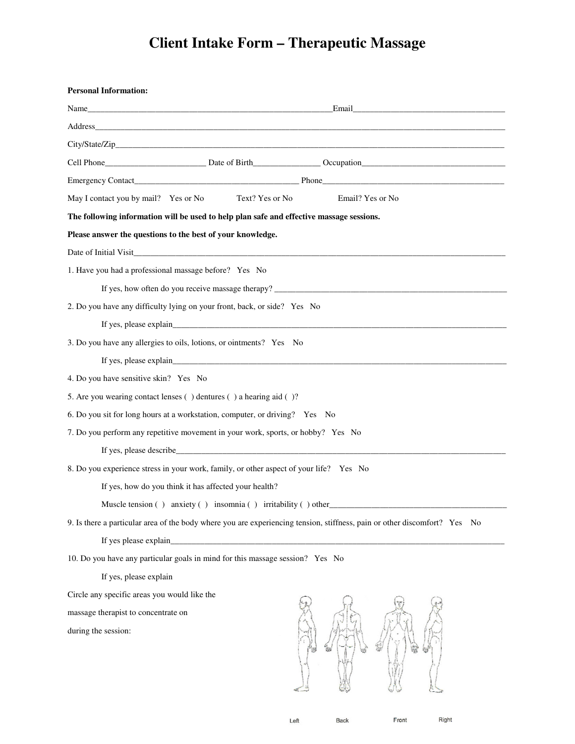## **Client Intake Form – Therapeutic Massage**

| <b>Personal Information:</b>                                                                                                                                                                                                        |  |  |
|-------------------------------------------------------------------------------------------------------------------------------------------------------------------------------------------------------------------------------------|--|--|
|                                                                                                                                                                                                                                     |  |  |
| Address and the contract of the contract of the contract of the contract of the contract of the contract of the contract of the contract of the contract of the contract of the contract of the contract of the contract of th      |  |  |
|                                                                                                                                                                                                                                     |  |  |
| Cell Phone <b>Date of Birth</b> Company Company Company Company Company Company Company Company Company Company Company Company Company Company Company Company Company Company Company Company Company Company Company Company Com |  |  |
|                                                                                                                                                                                                                                     |  |  |
| Email? Yes or No<br>May I contact you by mail? Yes or No Text? Yes or No                                                                                                                                                            |  |  |
| The following information will be used to help plan safe and effective massage sessions.                                                                                                                                            |  |  |
| Please answer the questions to the best of your knowledge.                                                                                                                                                                          |  |  |
| Date of Initial Visit                                                                                                                                                                                                               |  |  |
| 1. Have you had a professional massage before? Yes No                                                                                                                                                                               |  |  |
|                                                                                                                                                                                                                                     |  |  |
| 2. Do you have any difficulty lying on your front, back, or side? Yes No                                                                                                                                                            |  |  |
|                                                                                                                                                                                                                                     |  |  |
| 3. Do you have any allergies to oils, lotions, or ointments? Yes No                                                                                                                                                                 |  |  |
|                                                                                                                                                                                                                                     |  |  |
| 4. Do you have sensitive skin? Yes No                                                                                                                                                                                               |  |  |
| 5. Are you wearing contact lenses () dentures () a hearing aid ()?                                                                                                                                                                  |  |  |
| 6. Do you sit for long hours at a workstation, computer, or driving? Yes No                                                                                                                                                         |  |  |
| 7. Do you perform any repetitive movement in your work, sports, or hobby? Yes No                                                                                                                                                    |  |  |
|                                                                                                                                                                                                                                     |  |  |
| 8. Do you experience stress in your work, family, or other aspect of your life? Yes No                                                                                                                                              |  |  |
| If yes, how do you think it has affected your health?                                                                                                                                                                               |  |  |
| Muscle tension () anxiety () insomnia () irritability () other                                                                                                                                                                      |  |  |
| 9. Is there a particular area of the body where you are experiencing tension, stiffness, pain or other discomfort? Yes No                                                                                                           |  |  |
|                                                                                                                                                                                                                                     |  |  |
| 10. Do you have any particular goals in mind for this massage session? Yes No                                                                                                                                                       |  |  |
| If yes, please explain                                                                                                                                                                                                              |  |  |
| Circle any specific areas you would like the                                                                                                                                                                                        |  |  |
| massage therapist to concentrate on                                                                                                                                                                                                 |  |  |
| during the session:                                                                                                                                                                                                                 |  |  |

Back

Front